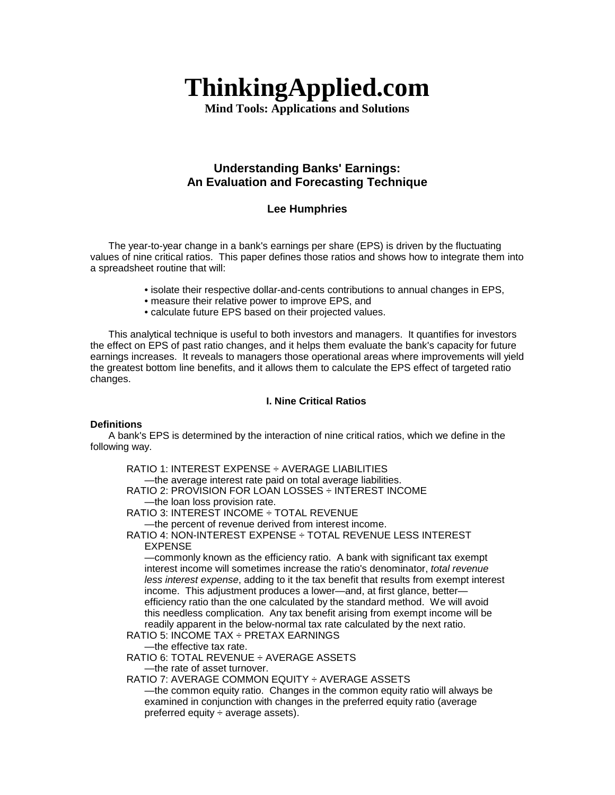# **ThinkingApplied.com**

**Mind Tools: Applications and Solutions** 

# **Understanding Banks' Earnings: An Evaluation and Forecasting Technique**

# **Lee Humphries**

The year-to-year change in a bank's earnings per share (EPS) is driven by the fluctuating values of nine critical ratios. This paper defines those ratios and shows how to integrate them into a spreadsheet routine that will:

- isolate their respective dollar-and-cents contributions to annual changes in EPS,
- measure their relative power to improve EPS, and
- calculate future EPS based on their projected values.

This analytical technique is useful to both investors and managers. It quantifies for investors the effect on EPS of past ratio changes, and it helps them evaluate the bank's capacity for future earnings increases. It reveals to managers those operational areas where improvements will yield the greatest bottom line benefits, and it allows them to calculate the EPS effect of targeted ratio changes.

# **I. Nine Critical Ratios**

# **Definitions**

A bank's EPS is determined by the interaction of nine critical ratios, which we define in the following way.

RATIO 1: INTEREST EXPENSE ÷ AVERAGE LIABILITIES —the average interest rate paid on total average liabilities. RATIO 2: PROVISION FOR LOAN LOSSES ÷ INTEREST INCOME —the loan loss provision rate. RATIO 3: INTEREST INCOME ÷ TOTAL REVENUE —the percent of revenue derived from interest income. RATIO 4: NON-INTEREST EXPENSE ÷ TOTAL REVENUE LESS INTEREST EXPENSE —commonly known as the efficiency ratio. A bank with significant tax exempt interest income will sometimes increase the ratio's denominator, *total revenue less interest expense*, adding to it the tax benefit that results from exempt interest income. This adjustment produces a lower—and, at first glance, better efficiency ratio than the one calculated by the standard method. We will avoid this needless complication. Any tax benefit arising from exempt income will be readily apparent in the below-normal tax rate calculated by the next ratio. RATIO 5: INCOME TAX ÷ PRETAX EARNINGS —the effective tax rate. RATIO 6: TOTAL REVENUE ÷ AVERAGE ASSETS —the rate of asset turnover. RATIO 7: AVERAGE COMMON EQUITY ÷ AVERAGE ASSETS —the common equity ratio. Changes in the common equity ratio will always be examined in conjunction with changes in the preferred equity ratio (average

preferred equity  $\div$  average assets).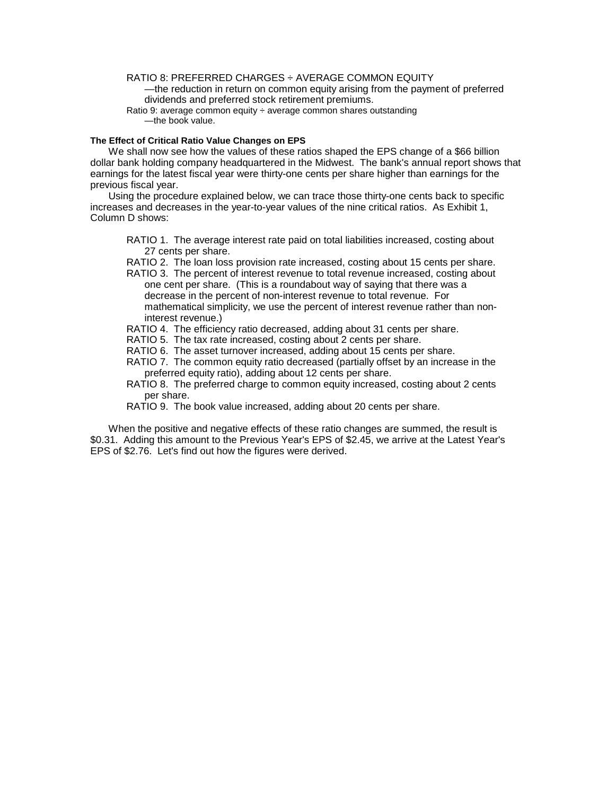# RATIO 8: PREFERRED CHARGES ÷ AVERAGE COMMON EQUITY

—the reduction in return on common equity arising from the payment of preferred dividends and preferred stock retirement premiums.

Ratio 9: average common equity ÷ average common shares outstanding —the book value.

#### **The Effect of Critical Ratio Value Changes on EPS**

We shall now see how the values of these ratios shaped the EPS change of a \$66 billion dollar bank holding company headquartered in the Midwest. The bank's annual report shows that earnings for the latest fiscal year were thirty-one cents per share higher than earnings for the previous fiscal year.

Using the procedure explained below, we can trace those thirty-one cents back to specific increases and decreases in the year-to-year values of the nine critical ratios. As Exhibit 1, Column D shows:

- RATIO 1. The average interest rate paid on total liabilities increased, costing about 27 cents per share.
- RATIO 2. The loan loss provision rate increased, costing about 15 cents per share.
- RATIO 3. The percent of interest revenue to total revenue increased, costing about one cent per share. (This is a roundabout way of saying that there was a decrease in the percent of non-interest revenue to total revenue. For mathematical simplicity, we use the percent of interest revenue rather than noninterest revenue.)
- RATIO 4. The efficiency ratio decreased, adding about 31 cents per share.
- RATIO 5. The tax rate increased, costing about 2 cents per share.
- RATIO 6. The asset turnover increased, adding about 15 cents per share.
- RATIO 7. The common equity ratio decreased (partially offset by an increase in the preferred equity ratio), adding about 12 cents per share.
- RATIO 8. The preferred charge to common equity increased, costing about 2 cents per share.

RATIO 9. The book value increased, adding about 20 cents per share.

When the positive and negative effects of these ratio changes are summed, the result is \$0.31. Adding this amount to the Previous Year's EPS of \$2.45, we arrive at the Latest Year's EPS of \$2.76. Let's find out how the figures were derived.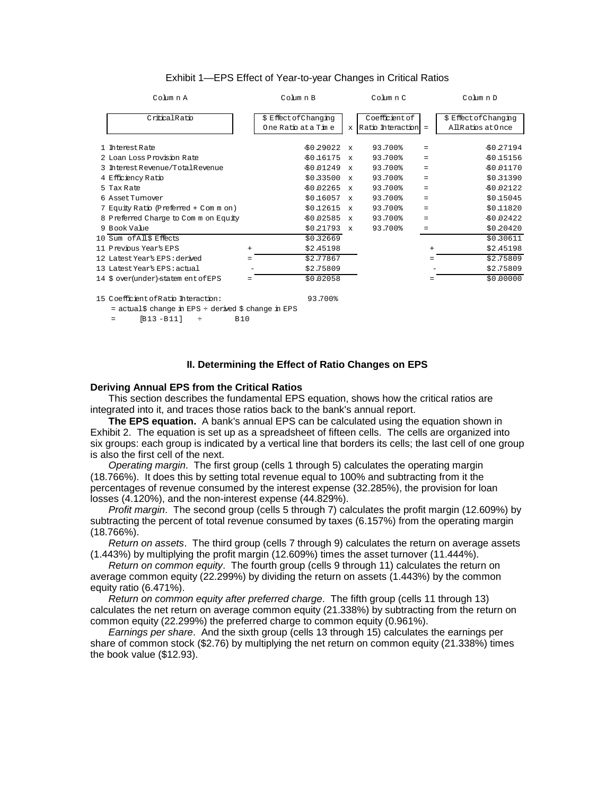| Column A                              |        | Column B                                     |              | Column C                              |           | Column D                                    |
|---------------------------------------|--------|----------------------------------------------|--------------|---------------------------------------|-----------|---------------------------------------------|
| CriticalRatio                         |        | \$ Effect of Changing<br>One Ratio at a Time | $\mathbf{x}$ | Coefficient of<br>Ratio Interaction = |           | \$ Effect of Changing<br>All Ratios at Once |
| 1 Interest Rate                       |        | \$0.29022                                    | $\mathbf{x}$ | 93.700%                               | $=$       | \$0.27194                                   |
| 2 Loan Loss Provision Rate            |        | \$0.16175                                    | $\mathbf{x}$ | 93.700%                               | $=$       | \$0.15156                                   |
| 3 Interest Revenue/Total Revenue      |        | \$0.01249                                    | $\mathbf{x}$ | 93.700%                               | $=$       | \$0.01170                                   |
| 4 Efficiency Ratio                    |        | \$0.33500                                    | $\mathbf{x}$ | 93.700%                               | $=$       | \$0.31390                                   |
| 5 Tax Rate                            |        | \$0.02265                                    | $\mathbf{x}$ | 93.700%                               | $=$       | \$0.02122                                   |
| 6 Asset Tumover                       |        | \$0.16057                                    | $\mathbf{x}$ | 93.700%                               | $=$       | \$0.15045                                   |
| 7 Equity Ratio (Preferred + Com m on) |        | \$0.12615                                    | $\mathbf{x}$ | 93.700%                               | $=$       | \$0,11820                                   |
| 8 Preferred Charge to Common Equity   |        | \$0.02585                                    | $\mathbf{x}$ | 93.700%                               | $=$       | \$0.02422                                   |
| 9 Book Value                          |        | \$0.21793                                    | $\mathbf{x}$ | 93.700%                               | $=$       | \$0.20420                                   |
| 10 Sum of All\$ Effects               |        | \$0.32669                                    |              |                                       |           | \$0.30611                                   |
| 11 Previous Year's EPS                | $^{+}$ | \$2.45198                                    |              |                                       | $\ddot{}$ | \$2.45198                                   |
| 12 Latest Year's EPS : derived        |        | \$2.77867                                    |              |                                       |           | \$2.75809                                   |
| 13 Latest Year's EPS: actual          |        | \$2.75809                                    |              |                                       |           | \$2.75809                                   |
| 14 \$ over(under)-statem ent of EPS   |        | \$0.02058                                    |              |                                       |           | \$0,00000                                   |

#### Exhibit 1—EPS Effect of Year-to-year Changes in Critical Ratios

15 Coefficient ofRatio Interaction: 93.700%

**II. Determining the Effect of Ratio Changes on EPS** 

#### **Deriving Annual EPS from the Critical Ratios**

= actual\$ change in EPS ÷ derived \$ change in EPS  $[B13 - B11]$   $\div$  B10

This section describes the fundamental EPS equation, shows how the critical ratios are integrated into it, and traces those ratios back to the bank's annual report.

**The EPS equation.** A bank's annual EPS can be calculated using the equation shown in Exhibit 2. The equation is set up as a spreadsheet of fifteen cells. The cells are organized into six groups: each group is indicated by a vertical line that borders its cells; the last cell of one group is also the first cell of the next.

*Operating margin*. The first group (cells 1 through 5) calculates the operating margin (18.766%). It does this by setting total revenue equal to 100% and subtracting from it the percentages of revenue consumed by the interest expense (32.285%), the provision for loan losses (4.120%), and the non-interest expense (44.829%).

*Profit margin*. The second group (cells 5 through 7) calculates the profit margin (12.609%) by subtracting the percent of total revenue consumed by taxes (6.157%) from the operating margin (18.766%).

*Return on assets*. The third group (cells 7 through 9) calculates the return on average assets (1.443%) by multiplying the profit margin (12.609%) times the asset turnover (11.444%).

*Return on common equity*. The fourth group (cells 9 through 11) calculates the return on average common equity (22.299%) by dividing the return on assets (1.443%) by the common equity ratio (6.471%).

*Return on common equity after preferred charge*. The fifth group (cells 11 through 13) calculates the net return on average common equity (21.338%) by subtracting from the return on common equity (22.299%) the preferred charge to common equity (0.961%).

*Earnings per share*. And the sixth group (cells 13 through 15) calculates the earnings per share of common stock (\$2.76) by multiplying the net return on common equity (21.338%) times the book value (\$12.93).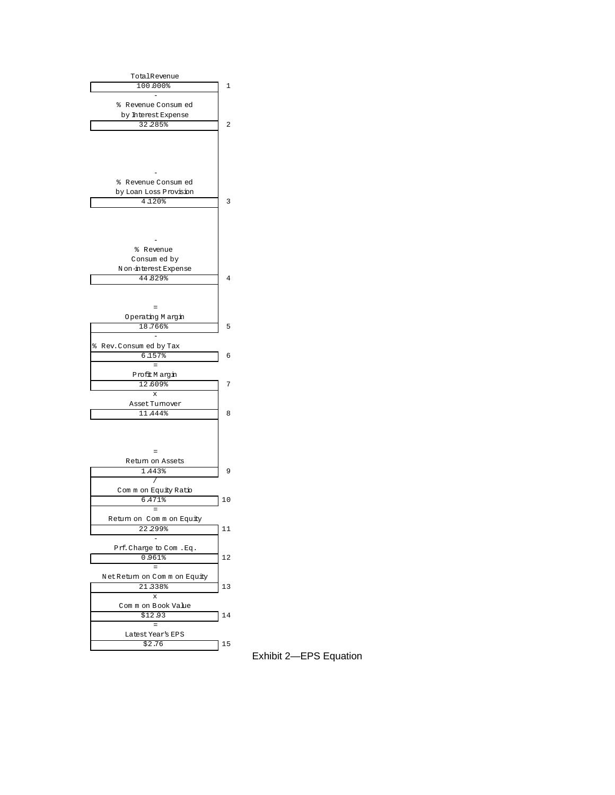

Exhibit 2—EPS Equation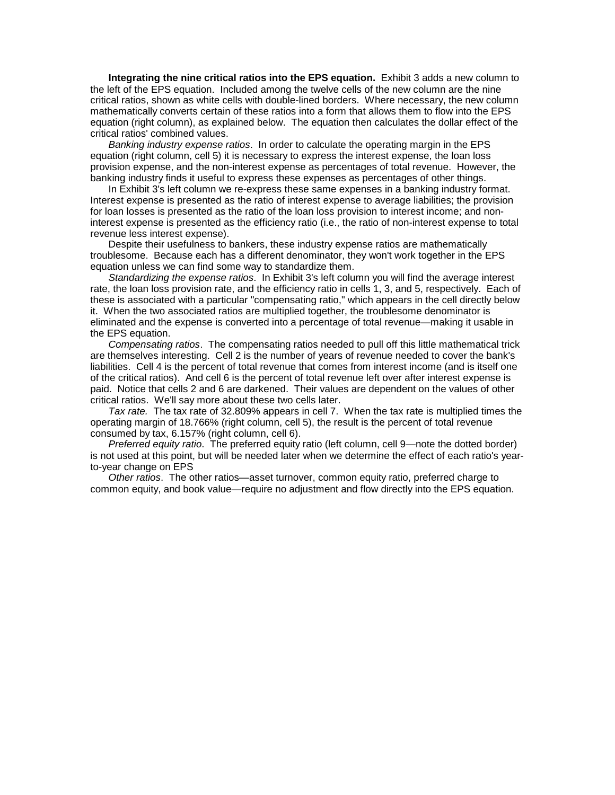**Integrating the nine critical ratios into the EPS equation.** Exhibit 3 adds a new column to the left of the EPS equation. Included among the twelve cells of the new column are the nine critical ratios, shown as white cells with double-lined borders. Where necessary, the new column mathematically converts certain of these ratios into a form that allows them to flow into the EPS equation (right column), as explained below. The equation then calculates the dollar effect of the critical ratios' combined values.

*Banking industry expense ratios*. In order to calculate the operating margin in the EPS equation (right column, cell 5) it is necessary to express the interest expense, the loan loss provision expense, and the non-interest expense as percentages of total revenue. However, the banking industry finds it useful to express these expenses as percentages of other things.

In Exhibit 3's left column we re-express these same expenses in a banking industry format. Interest expense is presented as the ratio of interest expense to average liabilities; the provision for loan losses is presented as the ratio of the loan loss provision to interest income; and noninterest expense is presented as the efficiency ratio (i.e., the ratio of non-interest expense to total revenue less interest expense).

Despite their usefulness to bankers, these industry expense ratios are mathematically troublesome. Because each has a different denominator, they won't work together in the EPS equation unless we can find some way to standardize them.

*Standardizing the expense ratios*. In Exhibit 3's left column you will find the average interest rate, the loan loss provision rate, and the efficiency ratio in cells 1, 3, and 5, respectively. Each of these is associated with a particular "compensating ratio," which appears in the cell directly below it. When the two associated ratios are multiplied together, the troublesome denominator is eliminated and the expense is converted into a percentage of total revenue—making it usable in the EPS equation.

*Compensating ratios*. The compensating ratios needed to pull off this little mathematical trick are themselves interesting. Cell 2 is the number of years of revenue needed to cover the bank's liabilities. Cell 4 is the percent of total revenue that comes from interest income (and is itself one of the critical ratios). And cell 6 is the percent of total revenue left over after interest expense is paid. Notice that cells 2 and 6 are darkened. Their values are dependent on the values of other critical ratios. We'll say more about these two cells later.

*Tax rate.* The tax rate of 32.809% appears in cell 7. When the tax rate is multiplied times the operating margin of 18.766% (right column, cell 5), the result is the percent of total revenue consumed by tax, 6.157% (right column, cell 6).

*Preferred equity ratio*. The preferred equity ratio (left column, cell 9—note the dotted border) is not used at this point, but will be needed later when we determine the effect of each ratio's yearto-year change on EPS

*Other ratios*. The other ratios—asset turnover, common equity ratio, preferred charge to common equity, and book value—require no adjustment and flow directly into the EPS equation.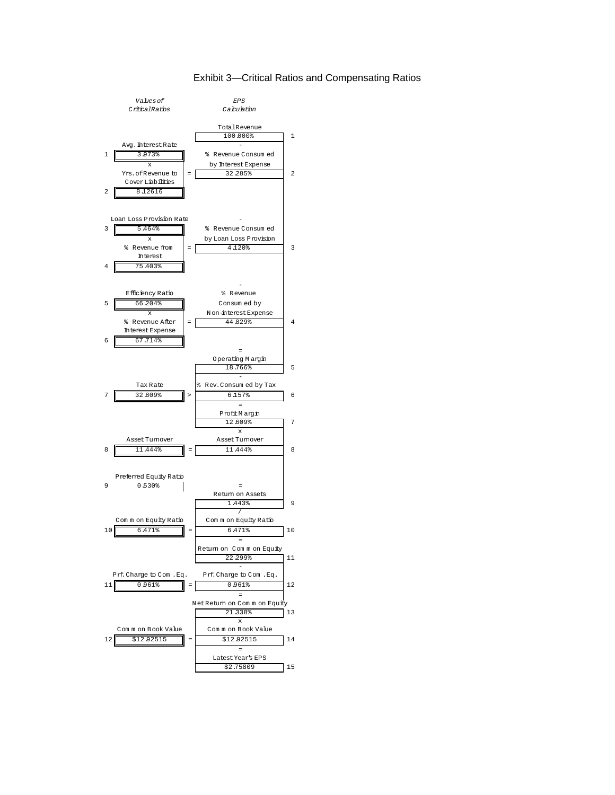# Exhibit 3—Critical Ratios and Compensating Ratios

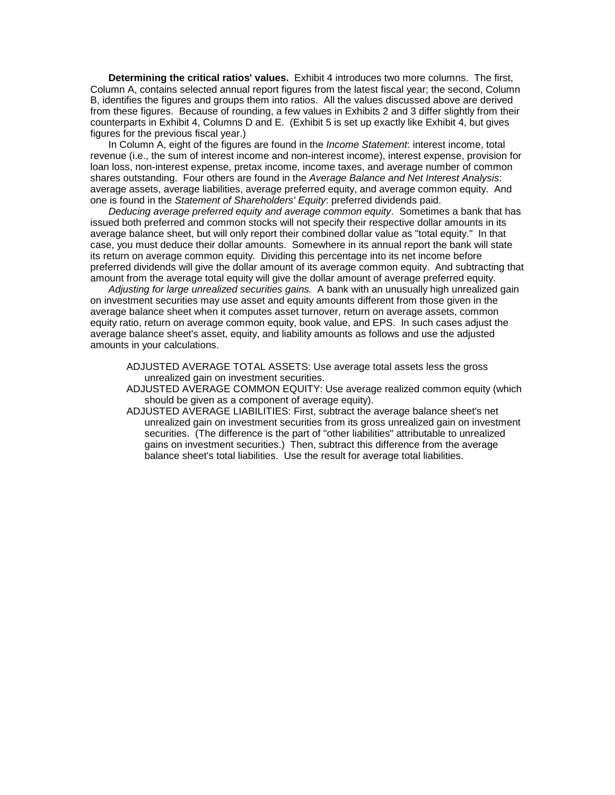**Determining the critical ratios' values.** Exhibit 4 introduces two more columns. The first, Column A, contains selected annual report figures from the latest fiscal year; the second, Column B, identifies the figures and groups them into ratios. All the values discussed above are derived from these figures. Because of rounding, a few values in Exhibits 2 and 3 differ slightly from their counterparts in Exhibit 4, Columns D and E. (Exhibit 5 is set up exactly like Exhibit 4, but gives figures for the previous fiscal year.)

In Column A, eight of the figures are found in the *Income Statement*: interest income, total revenue (i.e., the sum of interest income and non-interest income), interest expense, provision for loan loss, non-interest expense, pretax income, income taxes, and average number of common shares outstanding. Four others are found in the *Average Balance and Net Interest Analysis*: average assets, average liabilities, average preferred equity, and average common equity. And one is found in the *Statement of Shareholders' Equity*: preferred dividends paid.

*Deducing average preferred equity and average common equity*. Sometimes a bank that has issued both preferred and common stocks will not specify their respective dollar amounts in its average balance sheet, but will only report their combined dollar value as "total equity." In that case, you must deduce their dollar amounts. Somewhere in its annual report the bank will state its return on average common equity. Dividing this percentage into its net income before preferred dividends will give the dollar amount of its average common equity. And subtracting that amount from the average total equity will give the dollar amount of average preferred equity.

*Adjusting for large unrealized securities gains.* A bank with an unusually high unrealized gain on investment securities may use asset and equity amounts different from those given in the average balance sheet when it computes asset turnover, return on average assets, common equity ratio, return on average common equity, book value, and EPS. In such cases adjust the average balance sheet's asset, equity, and liability amounts as follows and use the adjusted amounts in your calculations.

- ADJUSTED AVERAGE TOTAL ASSETS: Use average total assets less the gross unrealized gain on investment securities.
- ADJUSTED AVERAGE COMMON EQUITY: Use average realized common equity (which should be given as a component of average equity).
- ADJUSTED AVERAGE LIABILITIES: First, subtract the average balance sheet's net unrealized gain on investment securities from its gross unrealized gain on investment securities. (The difference is the part of "other liabilities" attributable to unrealized gains on investment securities.) Then, subtract this difference from the average balance sheet's total liabilities. Use the result for average total liabilities.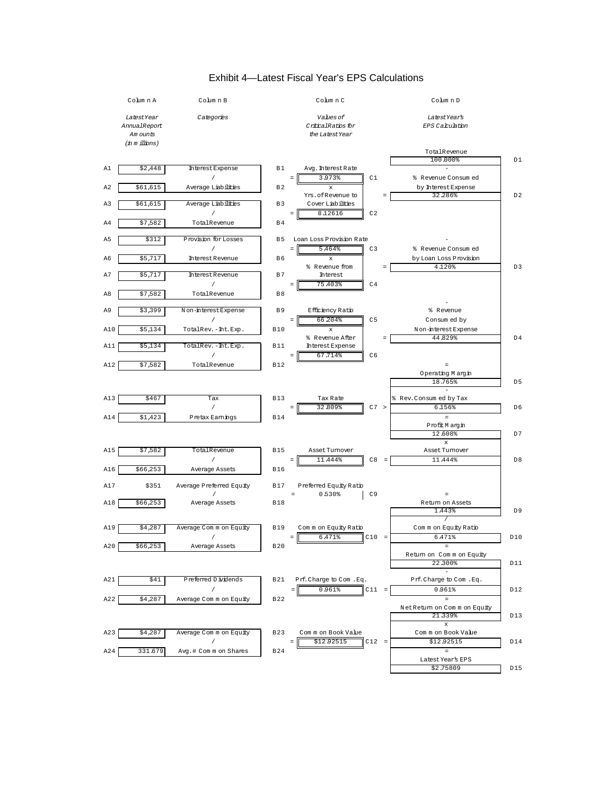

# Exhibit 4—Latest Fiscal Year's EPS Calculations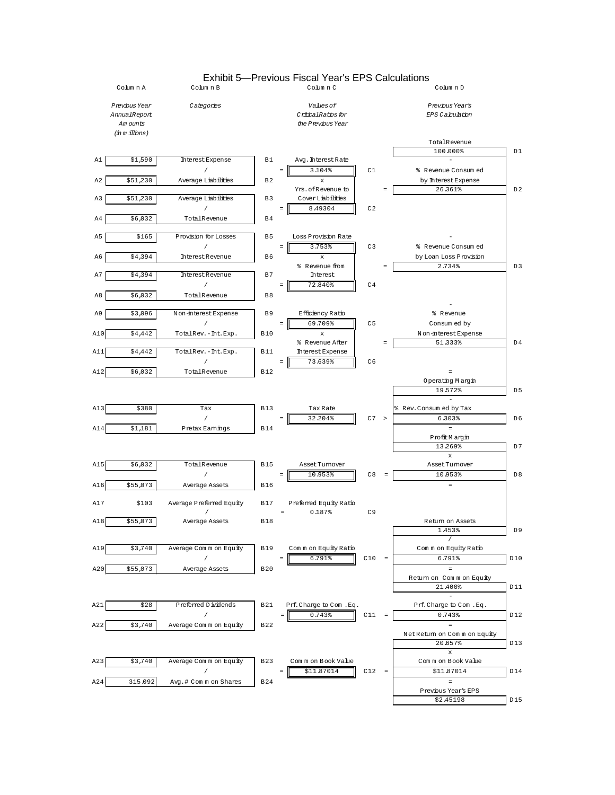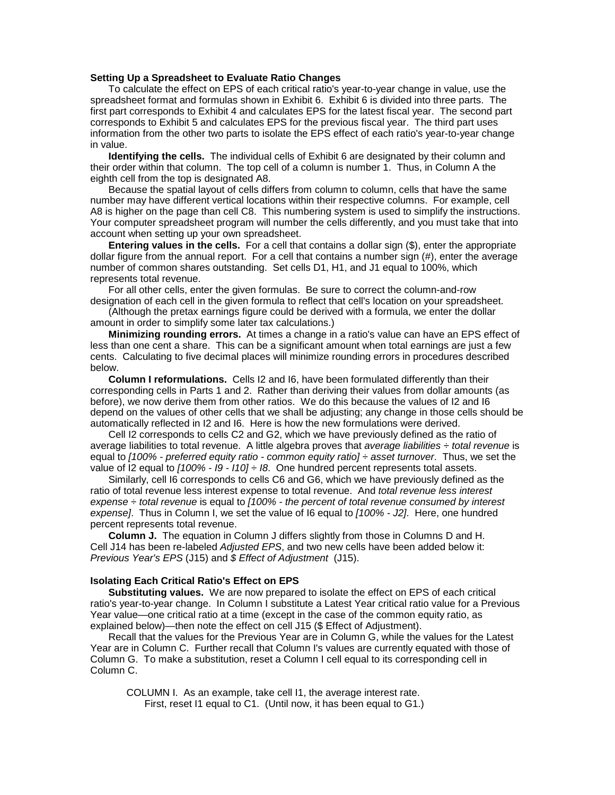#### **Setting Up a Spreadsheet to Evaluate Ratio Changes**

To calculate the effect on EPS of each critical ratio's year-to-year change in value, use the spreadsheet format and formulas shown in Exhibit 6. Exhibit 6 is divided into three parts. The first part corresponds to Exhibit 4 and calculates EPS for the latest fiscal year. The second part corresponds to Exhibit 5 and calculates EPS for the previous fiscal year. The third part uses information from the other two parts to isolate the EPS effect of each ratio's year-to-year change in value.

**Identifying the cells.** The individual cells of Exhibit 6 are designated by their column and their order within that column. The top cell of a column is number 1. Thus, in Column A the eighth cell from the top is designated A8.

Because the spatial layout of cells differs from column to column, cells that have the same number may have different vertical locations within their respective columns. For example, cell A8 is higher on the page than cell C8. This numbering system is used to simplify the instructions. Your computer spreadsheet program will number the cells differently, and you must take that into account when setting up your own spreadsheet.

**Entering values in the cells.** For a cell that contains a dollar sign (\$), enter the appropriate dollar figure from the annual report. For a cell that contains a number sign (#), enter the average number of common shares outstanding. Set cells D1, H1, and J1 equal to 100%, which represents total revenue.

For all other cells, enter the given formulas. Be sure to correct the column-and-row designation of each cell in the given formula to reflect that cell's location on your spreadsheet.

(Although the pretax earnings figure could be derived with a formula, we enter the dollar amount in order to simplify some later tax calculations.)

**Minimizing rounding errors.** At times a change in a ratio's value can have an EPS effect of less than one cent a share. This can be a significant amount when total earnings are just a few cents. Calculating to five decimal places will minimize rounding errors in procedures described below.

**Column I reformulations.** Cells I2 and I6, have been formulated differently than their corresponding cells in Parts 1 and 2. Rather than deriving their values from dollar amounts (as before), we now derive them from other ratios. We do this because the values of I2 and I6 depend on the values of other cells that we shall be adjusting; any change in those cells should be automatically reflected in I2 and I6. Here is how the new formulations were derived.

Cell I2 corresponds to cells C2 and G2, which we have previously defined as the ratio of average liabilities to total revenue. A little algebra proves that *average liabilities ÷ total revenue* is equal to *[100% - preferred equity ratio - common equity ratio] ÷ asset turnover*. Thus, we set the value of I2 equal to *[100% - I9 - I10] ÷ I8*. One hundred percent represents total assets.

Similarly, cell I6 corresponds to cells C6 and G6, which we have previously defined as the ratio of total revenue less interest expense to total revenue. And *total revenue less interest expense* ÷ *total revenue* is equal to *[100% - the percent of total revenue consumed by interest expense]*. Thus in Column I, we set the value of I6 equal to *[100% - J2]*. Here, one hundred percent represents total revenue.

**Column J.** The equation in Column J differs slightly from those in Columns D and H. Cell J14 has been re-labeled *Adjusted EPS*, and two new cells have been added below it: *Previous Year's EPS* (J15) and *\$ Effect of Adjustment* (J15).

#### **Isolating Each Critical Ratio's Effect on EPS**

**Substituting values.** We are now prepared to isolate the effect on EPS of each critical ratio's year-to-year change. In Column I substitute a Latest Year critical ratio value for a Previous Year value—one critical ratio at a time (except in the case of the common equity ratio, as explained below)—then note the effect on cell J15 (\$ Effect of Adjustment).

Recall that the values for the Previous Year are in Column G, while the values for the Latest Year are in Column C. Further recall that Column I's values are currently equated with those of Column G. To make a substitution, reset a Column I cell equal to its corresponding cell in Column C.

COLUMN I. As an example, take cell I1, the average interest rate. First, reset I1 equal to C1. (Until now, it has been equal to G1.)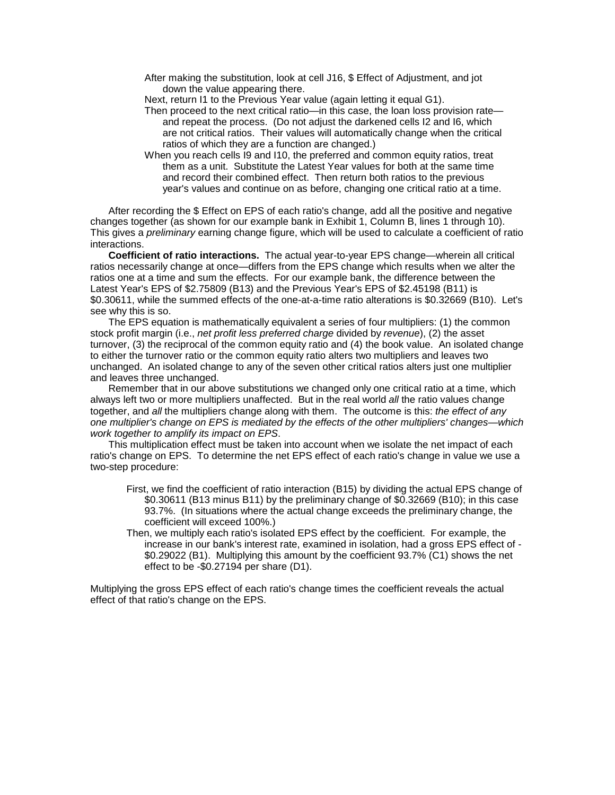After making the substitution, look at cell J16, \$ Effect of Adjustment, and jot down the value appearing there.

Next, return I1 to the Previous Year value (again letting it equal G1).

- Then proceed to the next critical ratio—in this case, the loan loss provision rate and repeat the process. (Do not adjust the darkened cells I2 and I6, which are not critical ratios. Their values will automatically change when the critical ratios of which they are a function are changed.)
- When you reach cells I9 and I10, the preferred and common equity ratios, treat them as a unit. Substitute the Latest Year values for both at the same time and record their combined effect. Then return both ratios to the previous year's values and continue on as before, changing one critical ratio at a time.

After recording the \$ Effect on EPS of each ratio's change, add all the positive and negative changes together (as shown for our example bank in Exhibit 1, Column B, lines 1 through 10). This gives a *preliminary* earning change figure, which will be used to calculate a coefficient of ratio interactions.

**Coefficient of ratio interactions.** The actual year-to-year EPS change—wherein all critical ratios necessarily change at once—differs from the EPS change which results when we alter the ratios one at a time and sum the effects. For our example bank, the difference between the Latest Year's EPS of \$2.75809 (B13) and the Previous Year's EPS of \$2.45198 (B11) is \$0.30611, while the summed effects of the one-at-a-time ratio alterations is \$0.32669 (B10). Let's see why this is so.

The EPS equation is mathematically equivalent a series of four multipliers: (1) the common stock profit margin (i.e., *net profit less preferred charge* divided by *revenue*), (2) the asset turnover, (3) the reciprocal of the common equity ratio and (4) the book value. An isolated change to either the turnover ratio or the common equity ratio alters two multipliers and leaves two unchanged. An isolated change to any of the seven other critical ratios alters just one multiplier and leaves three unchanged.

Remember that in our above substitutions we changed only one critical ratio at a time, which always left two or more multipliers unaffected. But in the real world *all* the ratio values change together, and *all* the multipliers change along with them. The outcome is this: *the effect of any one multiplier's change on EPS is mediated by the effects of the other multipliers' changes—which work together to amplify its impact on EPS*.

This multiplication effect must be taken into account when we isolate the net impact of each ratio's change on EPS. To determine the net EPS effect of each ratio's change in value we use a two-step procedure:

- First, we find the coefficient of ratio interaction (B15) by dividing the actual EPS change of \$0.30611 (B13 minus B11) by the preliminary change of \$0.32669 (B10); in this case 93.7%. (In situations where the actual change exceeds the preliminary change, the coefficient will exceed 100%.)
- Then, we multiply each ratio's isolated EPS effect by the coefficient. For example, the increase in our bank's interest rate, examined in isolation, had a gross EPS effect of - \$0.29022 (B1). Multiplying this amount by the coefficient 93.7% (C1) shows the net effect to be -\$0.27194 per share (D1).

Multiplying the gross EPS effect of each ratio's change times the coefficient reveals the actual effect of that ratio's change on the EPS.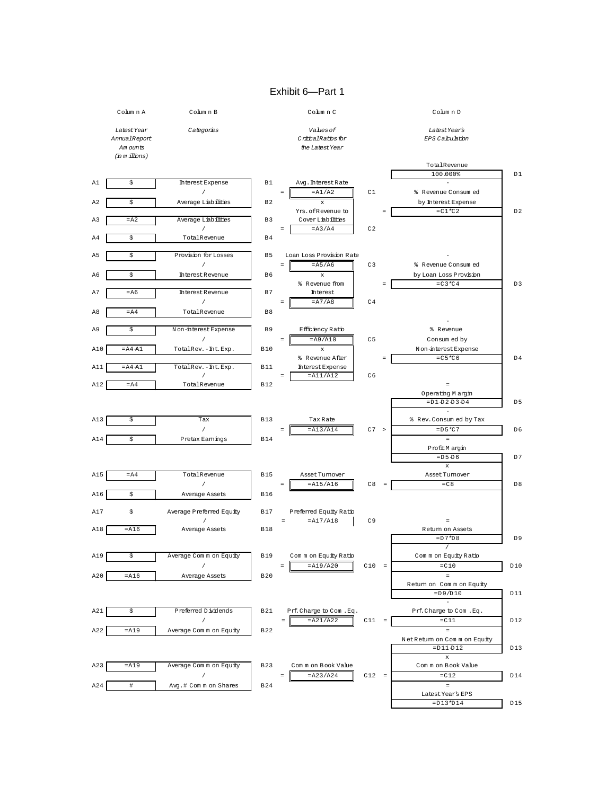#### Exhibit 6—Part 1

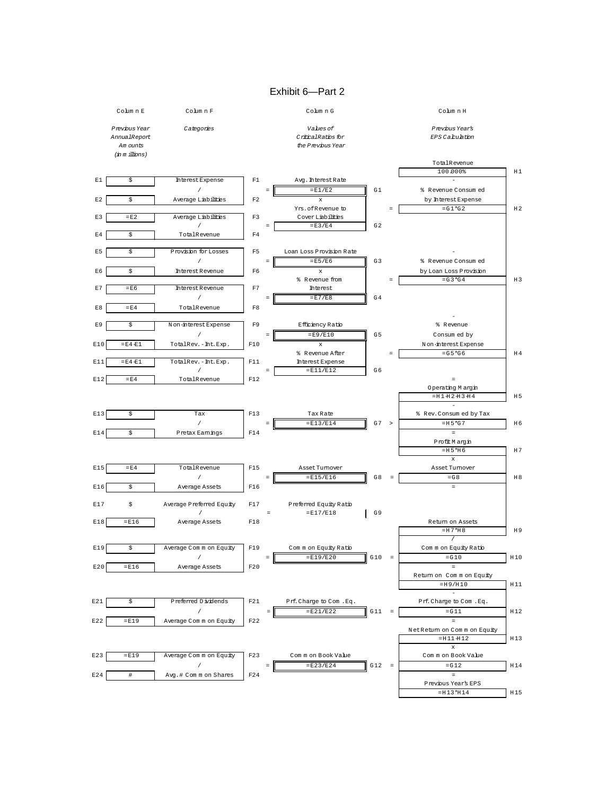#### Exhibit 6—Part 2

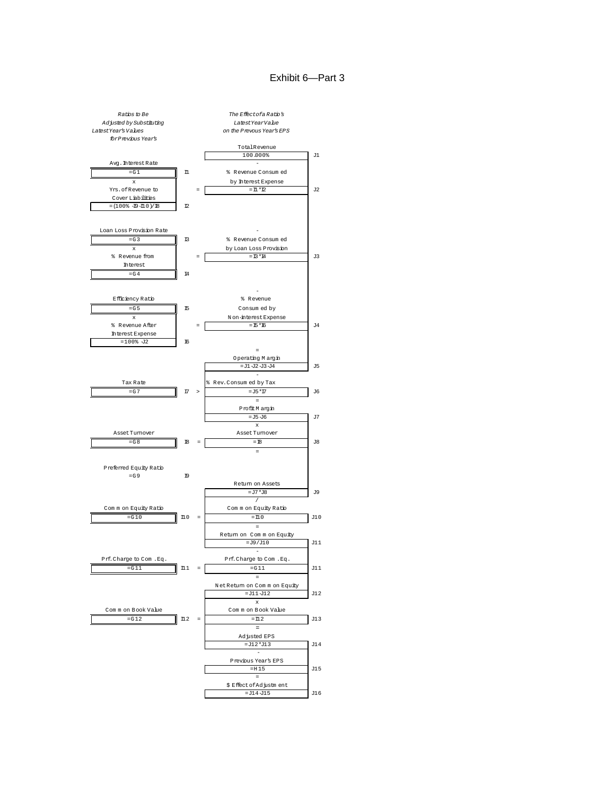# Exhibit 6—Part 3

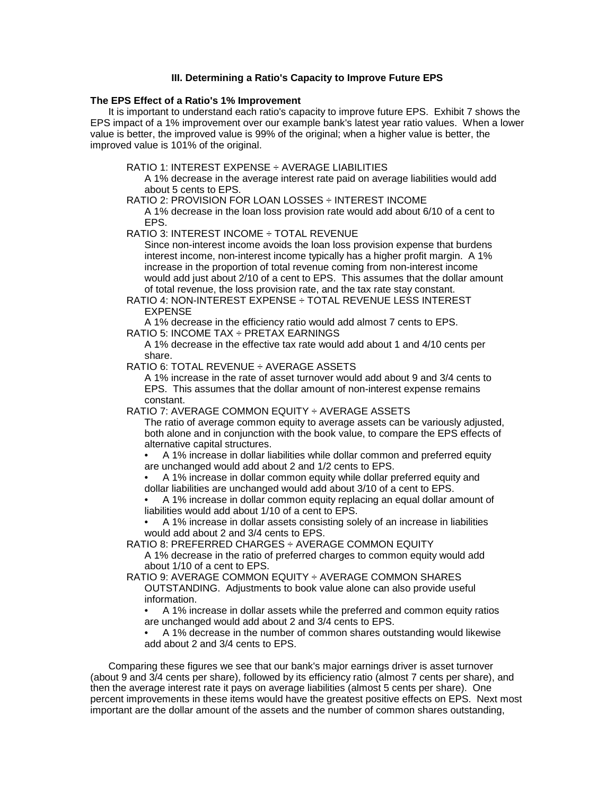# **III. Determining a Ratio's Capacity to Improve Future EPS**

#### **The EPS Effect of a Ratio's 1% Improvement**

It is important to understand each ratio's capacity to improve future EPS. Exhibit 7 shows the EPS impact of a 1% improvement over our example bank's latest year ratio values. When a lower value is better, the improved value is 99% of the original; when a higher value is better, the improved value is 101% of the original.

RATIO 1: INTEREST EXPENSE ÷ AVERAGE LIABILITIES

A 1% decrease in the average interest rate paid on average liabilities would add about 5 cents to EPS.

RATIO 2: PROVISION FOR LOAN LOSSES ÷ INTEREST INCOME

A 1% decrease in the loan loss provision rate would add about 6/10 of a cent to EPS.

RATIO 3: INTEREST INCOME ÷ TOTAL REVENUE

Since non-interest income avoids the loan loss provision expense that burdens interest income, non-interest income typically has a higher profit margin. A 1% increase in the proportion of total revenue coming from non-interest income would add just about 2/10 of a cent to EPS. This assumes that the dollar amount of total revenue, the loss provision rate, and the tax rate stay constant.

RATIO 4: NON-INTEREST EXPENSE ÷ TOTAL REVENUE LESS INTEREST EXPENSE

A 1% decrease in the efficiency ratio would add almost 7 cents to EPS.

RATIO 5: INCOME TAX ÷ PRETAX EARNINGS

A 1% decrease in the effective tax rate would add about 1 and 4/10 cents per share.

RATIO 6: TOTAL REVENUE ÷ AVERAGE ASSETS

A 1% increase in the rate of asset turnover would add about 9 and 3/4 cents to EPS. This assumes that the dollar amount of non-interest expense remains constant.

RATIO 7: AVERAGE COMMON EQUITY ÷ AVERAGE ASSETS

The ratio of average common equity to average assets can be variously adjusted, both alone and in conjunction with the book value, to compare the EPS effects of alternative capital structures.

• A 1% increase in dollar liabilities while dollar common and preferred equity are unchanged would add about 2 and 1/2 cents to EPS.

• A 1% increase in dollar common equity while dollar preferred equity and dollar liabilities are unchanged would add about 3/10 of a cent to EPS.

• A 1% increase in dollar common equity replacing an equal dollar amount of liabilities would add about 1/10 of a cent to EPS.

• A 1% increase in dollar assets consisting solely of an increase in liabilities would add about 2 and 3/4 cents to EPS.

RATIO 8: PREFERRED CHARGES ÷ AVERAGE COMMON EQUITY

A 1% decrease in the ratio of preferred charges to common equity would add about 1/10 of a cent to EPS.

RATIO 9: AVERAGE COMMON EQUITY ÷ AVERAGE COMMON SHARES OUTSTANDING. Adjustments to book value alone can also provide useful information.

• A 1% increase in dollar assets while the preferred and common equity ratios are unchanged would add about 2 and 3/4 cents to EPS.

• A 1% decrease in the number of common shares outstanding would likewise add about 2 and 3/4 cents to EPS.

Comparing these figures we see that our bank's major earnings driver is asset turnover (about 9 and 3/4 cents per share), followed by its efficiency ratio (almost 7 cents per share), and then the average interest rate it pays on average liabilities (almost 5 cents per share). One percent improvements in these items would have the greatest positive effects on EPS. Next most important are the dollar amount of the assets and the number of common shares outstanding,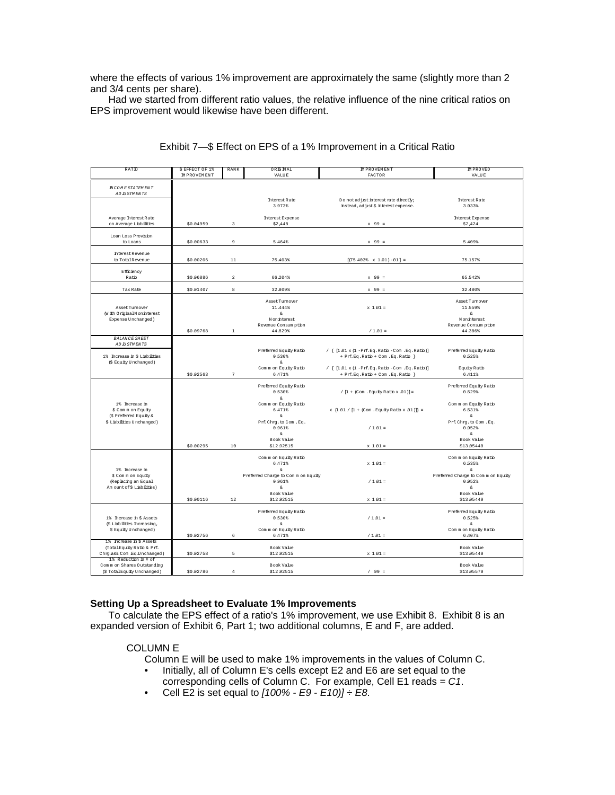where the effects of various 1% improvement are approximately the same (slightly more than 2 and 3/4 cents per share).

Had we started from different ratio values, the relative influence of the nine critical ratios on EPS improvement would likewise have been different.

| RATIO                                               | \$ EFFECT OF 1%<br>IM PROVEM ENT | RANK                    | ORENAL<br><b>VALUE</b>             | <b>MPROVEMENT</b><br>FACTOR                                                                 | <b>MPROVED</b><br>VALUE                   |
|-----------------------------------------------------|----------------------------------|-------------------------|------------------------------------|---------------------------------------------------------------------------------------------|-------------------------------------------|
|                                                     |                                  |                         |                                    |                                                                                             |                                           |
| <b>NCOME STATEMENT</b><br>ADJU STM ENTS             |                                  |                         |                                    |                                                                                             |                                           |
|                                                     |                                  |                         | <b>Interest Rate</b>               | Do not adjust interest rate directly;                                                       | <b>Interest Rate</b>                      |
|                                                     |                                  |                         | 3.973%                             | instead, adjust \$ interest expense.                                                        | 3.933%                                    |
| Average Interest Rate                               |                                  |                         | <b>Interest Expense</b>            |                                                                                             | <b>Interest Expense</b>                   |
| on Average Liabilities                              | \$0.04959                        | $\overline{\mathbf{3}}$ | \$2,448                            | $x$ 99 =                                                                                    | \$2,424                                   |
|                                                     |                                  |                         |                                    |                                                                                             |                                           |
| Loan Loss Provision<br>to Loans                     | \$0,00633                        | $\overline{9}$          | 5.464%                             | $x - 99 =$                                                                                  | 5.409%                                    |
|                                                     |                                  |                         |                                    |                                                                                             |                                           |
| <b>Interest Revenue</b><br>to TotalRevenue          | \$0,00206                        | 11                      | 75.403%                            |                                                                                             | 75.157%                                   |
|                                                     |                                  |                         |                                    | $[(75.403% \times 1.01) -01] =$                                                             |                                           |
| Efficiency                                          |                                  |                         |                                    |                                                                                             |                                           |
| Ratio                                               | \$0.06886                        | $\boldsymbol{2}$        | 66.204%                            | $x$ 99 =                                                                                    | 65.542%                                   |
| Tax Rate                                            | \$0.01407                        | $^{\rm 8}$              | 32.809%                            | $x - 99 =$                                                                                  | 32.480%                                   |
|                                                     |                                  |                         |                                    |                                                                                             |                                           |
| Asset Turnover                                      |                                  |                         | Asset Tumover<br>11,444%           | $x 1.01 =$                                                                                  | Asset Turnover<br>11.559%                 |
| (With OriginalN on interest                         |                                  |                         | s.                                 |                                                                                             | â                                         |
| Expense Unchanged)                                  |                                  |                         | Noninterest                        |                                                                                             | Noninterest                               |
|                                                     | \$0.09768                        | $\mathbf{1}$            | Revenue Consum ption<br>44.829%    | $/ 1.01 =$                                                                                  | Revenue Consum ption<br>44.386%           |
| <b>BALANCE SHEET</b>                                |                                  |                         |                                    |                                                                                             |                                           |
| ADJUSTMENTS                                         |                                  |                         |                                    |                                                                                             |                                           |
| 1% Increase in \$ Liabilities                       |                                  |                         | Preferred Equity Ratio<br>0.530%   | / { $[1.01 \times (1 - Prf. Eq. Ratb - Com. Eq. Ratb)]$<br>+ Prf.Eq.Ratio + Com .Eq.Ratio } | Preferred Equity Ratio<br>0.525%          |
| (\$ Equity Unchanged)                               |                                  |                         | s.                                 |                                                                                             |                                           |
|                                                     |                                  |                         | Common Equity Ratio                | / { $[1.01 \times (1 - Prf. Eq. Ratb - Com. Eq. Ratb)]$                                     | Equity Ratio                              |
|                                                     | \$0.02563                        | $\overline{7}$          | 6.471%                             | + Prf.Eq.Ratio + Com .Eq.Ratio }                                                            | 6.411%                                    |
|                                                     |                                  |                         | Preferred Equity Ratio             |                                                                                             | Preferred Equity Ratio                    |
|                                                     |                                  |                         | 0.530%                             | / $[1 + (Com . Equity Ratio x .01)] =$                                                      | 0.529%                                    |
| 1% Increase in                                      |                                  |                         | $\&$<br>Common Equity Ratio        |                                                                                             | Common Equity Ratio                       |
| \$ Com m on Equity                                  |                                  |                         | 6.471%                             | x $\{1.01 / [1 + (Com . Equity Ratio x .01)]\}$ =                                           | 6.531%                                    |
| (\$ Preferred Equity &<br>\$ Liabilities Unchanged) |                                  |                         | s.<br>Prf. Chrg. to Com. Eq.       |                                                                                             | $\hat{\kappa}$<br>Prf. Chrg. to Com . Eq. |
|                                                     |                                  |                         | 0.961%                             | $/ 1.01 =$                                                                                  | 0.952%                                    |
|                                                     |                                  |                         | s.                                 |                                                                                             | &                                         |
|                                                     | \$0.00295                        | 10                      | Book Value<br>\$12,92515           | $x 1.01 =$                                                                                  | Book Value<br>\$13.05440                  |
|                                                     |                                  |                         |                                    |                                                                                             |                                           |
|                                                     |                                  |                         | Common Equity Ratio                |                                                                                             | Common Equity Ratio                       |
| 1% Increase in                                      |                                  |                         | 6.471%<br>s.                       | $x 1.01 =$                                                                                  | 6.535%<br>$\hat{\kappa}$                  |
| \$ Com m on Equity                                  |                                  |                         | Preferred Charge to Comm on Equity |                                                                                             | Preferred Charge to Comm on Equity        |
| (Replacing an Equal                                 |                                  |                         | 0.961%                             | $/ 1.01 =$                                                                                  | 0.952%                                    |
| Am ount of \$ Liabilities)                          |                                  |                         | s<br>Book Value                    |                                                                                             | s.<br>Book Value                          |
|                                                     | \$0.00116                        | 12                      | \$12,92515                         | $x 1.01 =$                                                                                  | \$13.05440                                |
|                                                     |                                  |                         | Preferred Equity Ratio             |                                                                                             | Preferred Equity Ratio                    |
| 1% Increase in \$ Assets                            |                                  |                         | 0.530%                             | $/ 1.01 =$                                                                                  | 0.525%                                    |
| (\$ Liabilities Increasing,                         |                                  |                         | å.                                 |                                                                                             | â                                         |
| \$ Equity Unchanged)                                | \$0.02756                        | 6                       | Common Equity Ratio<br>6.471%      | $/ 1.01 =$                                                                                  | Common Equity Ratio<br>6.407%             |
| 1% Increase in \$ Assets                            |                                  |                         |                                    |                                                                                             |                                           |
| (Total Equity Ratio & Prf.                          |                                  |                         | Book Vahe                          |                                                                                             | Book Value                                |
| Chry as% Com Eq.Unchanged)<br>1% Reduction in # of  | \$0.02758                        | 5                       | \$12,92515                         | $x 1.01 =$                                                                                  | \$13.05440                                |
| Common Shares Outstanding                           |                                  |                         | Book Value                         |                                                                                             | Book Value                                |
| (\$TotalEquity Unchanged)                           | \$0.02786                        | $\overline{4}$          | \$12,92515                         | $/ 99 =$                                                                                    | \$13.05570                                |

# Exhibit 7—\$ Effect on EPS of a 1% Improvement in a Critical Ratio

# **Setting Up a Spreadsheet to Evaluate 1% Improvements**

To calculate the EPS effect of a ratio's 1% improvement, we use Exhibit 8. Exhibit 8 is an expanded version of Exhibit 6, Part 1; two additional columns, E and F, are added.

# COLUMN E

Column E will be used to make 1% improvements in the values of Column C.

- Initially, all of Column E's cells except E2 and E6 are set equal to the
	- corresponding cells of Column C. For example, Cell E1 reads *= C1*.
- Cell E2 is set equal to *[100% E9 E10)] ÷ E8*.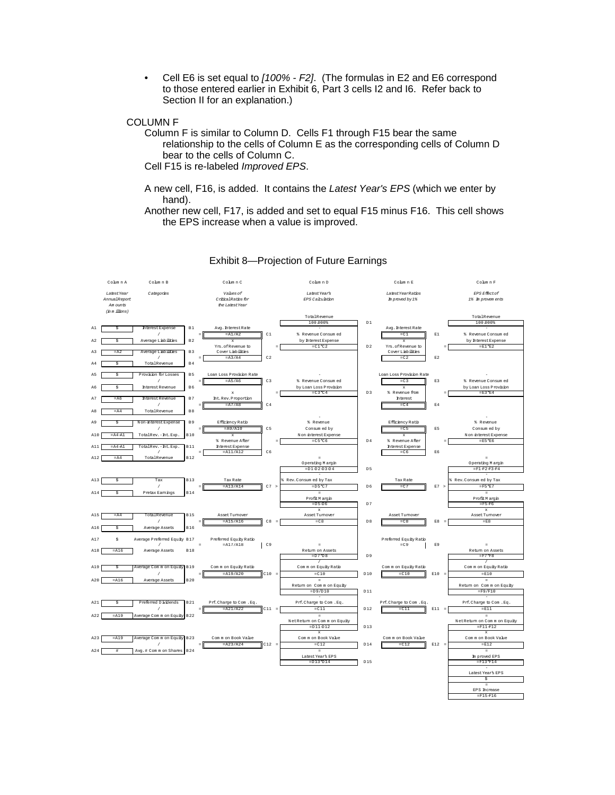• Cell E6 is set equal to *[100% - F2]*. (The formulas in E2 and E6 correspond to those entered earlier in Exhibit 6, Part 3 cells I2 and I6. Refer back to Section II for an explanation.)

#### COLUMN F

Column F is similar to Column D. Cells F1 through F15 bear the same relationship to the cells of Column E as the corresponding cells of Column D bear to the cells of Column C. Cell F15 is re-labeled *Improved EPS*.

A new cell, F16, is added. It contains the *Latest Year's EPS* (which we enter by hand).

Another new cell, F17, is added and set to equal F15 minus F16. This cell shows the EPS increase when a value is improved.



#### Exhibit 8—Projection of Future Earnings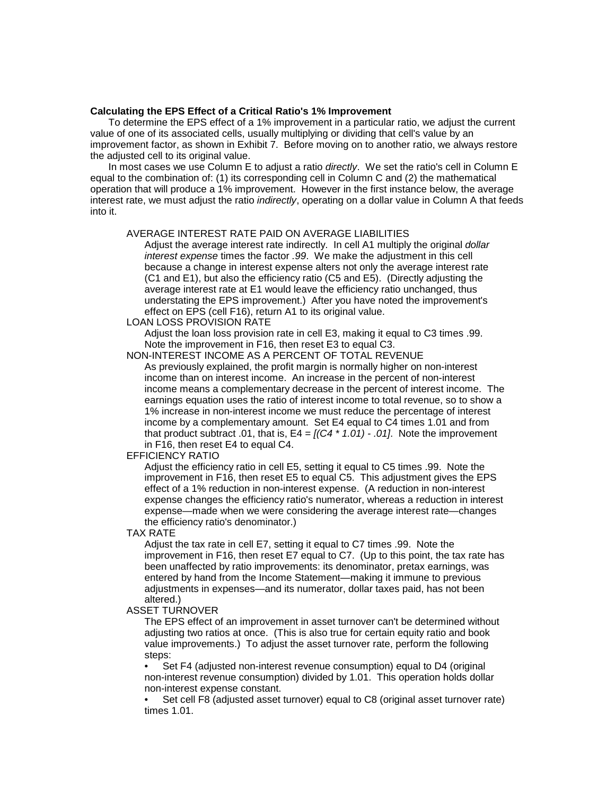#### **Calculating the EPS Effect of a Critical Ratio's 1% Improvement**

To determine the EPS effect of a 1% improvement in a particular ratio, we adjust the current value of one of its associated cells, usually multiplying or dividing that cell's value by an improvement factor, as shown in Exhibit 7. Before moving on to another ratio, we always restore the adjusted cell to its original value.

In most cases we use Column E to adjust a ratio *directly*. We set the ratio's cell in Column E equal to the combination of: (1) its corresponding cell in Column C and (2) the mathematical operation that will produce a 1% improvement. However in the first instance below, the average interest rate, we must adjust the ratio *indirectly*, operating on a dollar value in Column A that feeds into it.

#### AVERAGE INTEREST RATE PAID ON AVERAGE LIABILITIES

Adjust the average interest rate indirectly. In cell A1 multiply the original *dollar interest expense* times the factor *.99*. We make the adjustment in this cell because a change in interest expense alters not only the average interest rate (C1 and E1), but also the efficiency ratio (C5 and E5). (Directly adjusting the average interest rate at E1 would leave the efficiency ratio unchanged, thus understating the EPS improvement.) After you have noted the improvement's effect on EPS (cell F16), return A1 to its original value.

#### LOAN LOSS PROVISION RATE

Adjust the loan loss provision rate in cell E3, making it equal to C3 times .99. Note the improvement in F16, then reset E3 to equal C3.

NON-INTEREST INCOME AS A PERCENT OF TOTAL REVENUE

As previously explained, the profit margin is normally higher on non-interest income than on interest income. An increase in the percent of non-interest income means a complementary decrease in the percent of interest income. The earnings equation uses the ratio of interest income to total revenue, so to show a 1% increase in non-interest income we must reduce the percentage of interest income by a complementary amount. Set E4 equal to C4 times 1.01 and from that product subtract .01, that is,  $E4 = \frac{1}{C4 \times 1.01}$  - .01. Note the improvement in F16, then reset E4 to equal C4.

#### EFFICIENCY RATIO

Adjust the efficiency ratio in cell E5, setting it equal to C5 times .99. Note the improvement in F16, then reset E5 to equal C5. This adjustment gives the EPS effect of a 1% reduction in non-interest expense. (A reduction in non-interest expense changes the efficiency ratio's numerator, whereas a reduction in interest expense—made when we were considering the average interest rate—changes the efficiency ratio's denominator.)

TAX RATE

Adjust the tax rate in cell E7, setting it equal to C7 times .99. Note the improvement in F16, then reset E7 equal to C7. (Up to this point, the tax rate has been unaffected by ratio improvements: its denominator, pretax earnings, was entered by hand from the Income Statement—making it immune to previous adjustments in expenses—and its numerator, dollar taxes paid, has not been altered.)

#### ASSET TURNOVER

The EPS effect of an improvement in asset turnover can't be determined without adjusting two ratios at once. (This is also true for certain equity ratio and book value improvements.) To adjust the asset turnover rate, perform the following steps:

• Set F4 (adjusted non-interest revenue consumption) equal to D4 (original non-interest revenue consumption) divided by 1.01. This operation holds dollar non-interest expense constant.

• Set cell F8 (adjusted asset turnover) equal to C8 (original asset turnover rate) times 1.01.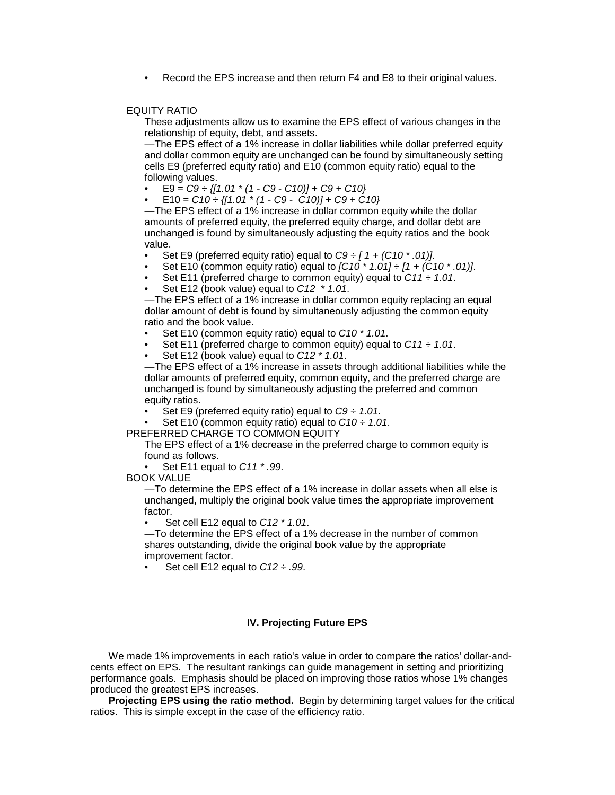Record the EPS increase and then return F4 and E8 to their original values.

#### EQUITY RATIO

These adjustments allow us to examine the EPS effect of various changes in the relationship of equity, debt, and assets.

—The EPS effect of a 1% increase in dollar liabilities while dollar preferred equity and dollar common equity are unchanged can be found by simultaneously setting cells E9 (preferred equity ratio) and E10 (common equity ratio) equal to the following values.

- E9 = *C9 ÷ {[1.01 \* (1 C9 C10)] + C9 + C10}*
- E10 = *C10 ÷ {[1.01 \* (1 C9 C10)] + C9 + C10}*

—The EPS effect of a 1% increase in dollar common equity while the dollar amounts of preferred equity, the preferred equity charge, and dollar debt are unchanged is found by simultaneously adjusting the equity ratios and the book value.

- Set E9 (preferred equity ratio) equal to *C9 ÷ [ 1 + (C10 \* .01)]*.
- Set E10 (common equity ratio) equal to *[C10 \* 1.01] ÷ [1 + (C10 \* .01)]*.
- Set E11 (preferred charge to common equity) equal to *C11 ÷ 1.01*.
- Set E12 (book value) equal to *C12 \* 1.01*.

—The EPS effect of a 1% increase in dollar common equity replacing an equal dollar amount of debt is found by simultaneously adjusting the common equity ratio and the book value.

- Set E10 (common equity ratio) equal to *C10 \* 1.01*.
- Set E11 (preferred charge to common equity) equal to *C11 ÷ 1.01*.
- Set E12 (book value) equal to *C12 \* 1.01*.

—The EPS effect of a 1% increase in assets through additional liabilities while the dollar amounts of preferred equity, common equity, and the preferred charge are unchanged is found by simultaneously adjusting the preferred and common equity ratios.

- Set E9 (preferred equity ratio) equal to *C9 ÷ 1.01*.
- Set E10 (common equity ratio) equal to  $C10 \div 1.01$ .

PREFERRED CHARGE TO COMMON EQUITY

The EPS effect of a 1% decrease in the preferred charge to common equity is found as follows.

• Set E11 equal to *C11 \* .99*.

BOOK VALUE

—To determine the EPS effect of a 1% increase in dollar assets when all else is unchanged, multiply the original book value times the appropriate improvement factor.

• Set cell E12 equal to *C12 \* 1.01*.

—To determine the EPS effect of a 1% decrease in the number of common shares outstanding, divide the original book value by the appropriate improvement factor.

• Set cell E12 equal to *C12 ÷ .99*.

# **IV. Projecting Future EPS**

We made 1% improvements in each ratio's value in order to compare the ratios' dollar-andcents effect on EPS. The resultant rankings can guide management in setting and prioritizing performance goals. Emphasis should be placed on improving those ratios whose 1% changes produced the greatest EPS increases.

**Projecting EPS using the ratio method.** Begin by determining target values for the critical ratios. This is simple except in the case of the efficiency ratio.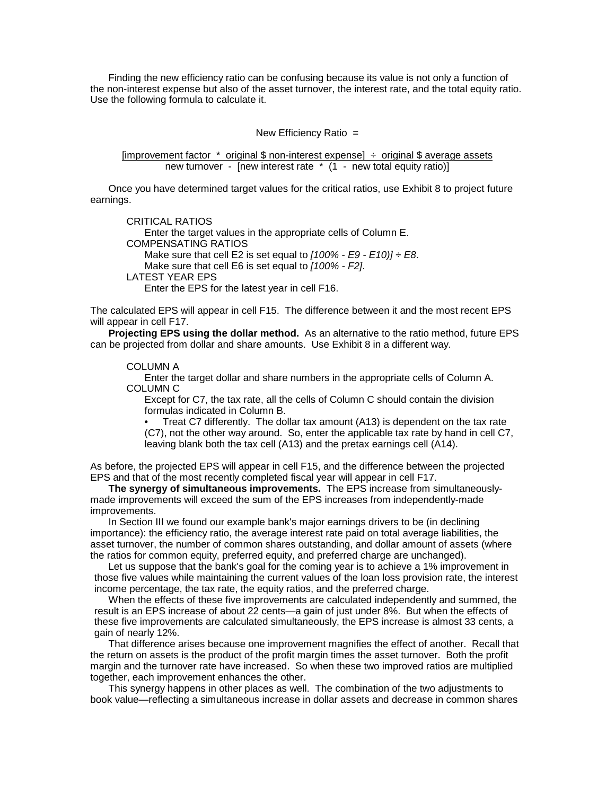Finding the new efficiency ratio can be confusing because its value is not only a function of the non-interest expense but also of the asset turnover, the interest rate, and the total equity ratio. Use the following formula to calculate it.

New Efficiency Ratio =

[improvement factor  $*$  original \$ non-interest expense]  $\div$  original \$ average assets new turnover - [new interest rate \* (1 - new total equity ratio)]

Once you have determined target values for the critical ratios, use Exhibit 8 to project future earnings.

CRITICAL RATIOS Enter the target values in the appropriate cells of Column E. COMPENSATING RATIOS Make sure that cell E2 is set equal to *[100% - E9 - E10)] ÷ E8*. Make sure that cell E6 is set equal to *[100% - F2]*. LATEST YEAR EPS Enter the EPS for the latest year in cell F16.

The calculated EPS will appear in cell F15. The difference between it and the most recent EPS will appear in cell F17.

**Projecting EPS using the dollar method.** As an alternative to the ratio method, future EPS can be projected from dollar and share amounts. Use Exhibit 8 in a different way.

#### COLUMN A

Enter the target dollar and share numbers in the appropriate cells of Column A. COLUMN C

Except for C7, the tax rate, all the cells of Column C should contain the division formulas indicated in Column B.

• Treat C7 differently. The dollar tax amount (A13) is dependent on the tax rate (C7), not the other way around. So, enter the applicable tax rate by hand in cell C7, leaving blank both the tax cell (A13) and the pretax earnings cell (A14).

As before, the projected EPS will appear in cell F15, and the difference between the projected EPS and that of the most recently completed fiscal year will appear in cell F17.

**The synergy of simultaneous improvements.** The EPS increase from simultaneouslymade improvements will exceed the sum of the EPS increases from independently-made improvements.

In Section III we found our example bank's major earnings drivers to be (in declining importance): the efficiency ratio, the average interest rate paid on total average liabilities, the asset turnover, the number of common shares outstanding, and dollar amount of assets (where the ratios for common equity, preferred equity, and preferred charge are unchanged).

Let us suppose that the bank's goal for the coming year is to achieve a 1% improvement in those five values while maintaining the current values of the loan loss provision rate, the interest income percentage, the tax rate, the equity ratios, and the preferred charge.

When the effects of these five improvements are calculated independently and summed, the result is an EPS increase of about 22 cents—a gain of just under 8%. But when the effects of these five improvements are calculated simultaneously, the EPS increase is almost 33 cents, a gain of nearly 12%.

That difference arises because one improvement magnifies the effect of another. Recall that the return on assets is the product of the profit margin times the asset turnover. Both the profit margin and the turnover rate have increased. So when these two improved ratios are multiplied together, each improvement enhances the other.

This synergy happens in other places as well. The combination of the two adjustments to book value—reflecting a simultaneous increase in dollar assets and decrease in common shares